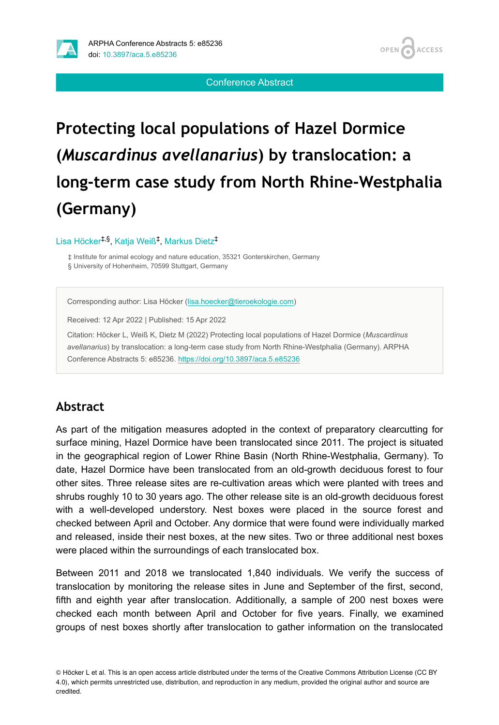

Conference Abstract

# **Protecting local populations of Hazel Dormice (***Muscardinus avellanarius***) by translocation: a long-term case study from North Rhine-Westphalia (Germany)**

Lisa Höcker<sup>‡,§</sup>, Katja Weiß<sup>‡</sup>, Markus Dietz<sup>‡</sup>

‡ Institute for animal ecology and nature education, 35321 Gonterskirchen, Germany § University of Hohenheim, 70599 Stuttgart, Germany

Corresponding author: Lisa Höcker ([lisa.hoecker@tieroekologie.com](mailto:lisa.hoecker@tieroekologie.com))

Received: 12 Apr 2022 | Published: 15 Apr 2022

Citation: Höcker L, Weiß K, Dietz M (2022) Protecting local populations of Hazel Dormice (*Muscardinus avellanarius*) by translocation: a long-term case study from North Rhine-Westphalia (Germany). ARPHA Conference Abstracts 5: e85236. <https://doi.org/10.3897/aca.5.e85236>

## **Abstract**

As part of the mitigation measures adopted in the context of preparatory clearcutting for surface mining, Hazel Dormice have been translocated since 2011. The project is situated in the geographical region of Lower Rhine Basin (North Rhine-Westphalia, Germany). To date, Hazel Dormice have been translocated from an old-growth deciduous forest to four other sites. Three release sites are re-cultivation areas which were planted with trees and shrubs roughly 10 to 30 years ago. The other release site is an old-growth deciduous forest with a well-developed understory. Nest boxes were placed in the source forest and checked between April and October. Any dormice that were found were individually marked and released, inside their nest boxes, at the new sites. Two or three additional nest boxes were placed within the surroundings of each translocated box.

Between 2011 and 2018 we translocated 1,840 individuals. We verify the success of translocation by monitoring the release sites in June and September of the first, second, fifth and eighth year after translocation. Additionally, a sample of 200 nest boxes were checked each month between April and October for five years. Finally, we examined groups of nest boxes shortly after translocation to gather information on the translocated

<sup>©</sup> Höcker L et al. This is an open access article distributed under the terms of the Creative Commons Attribution License (CC BY 4.0), which permits unrestricted use, distribution, and reproduction in any medium, provided the original author and source are credited.